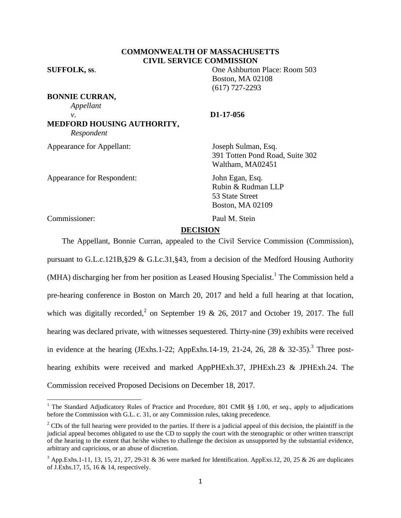# **COMMONWEALTH OF MASSACHUSETTS CIVIL SERVICE COMMISSION**

**BONNIE CURRAN,** *Appellant v*. **D1-17-056 MEDFORD HOUSING AUTHORITY,**

*Respondent*

Appearance for Appellant: Joseph Sulman, Esq.

Appearance for Respondent: John Egan, Esq.

**SUFFOLK, ss**. One Ashburton Place: Room 503 Boston, MA 02108 (617) 727-2293

391 Totten Pond Road, Suite 302 Waltham, MA02451

Rubin & Rudman LLP 53 State Street Boston, MA 02109

Commissioner: Paul M. Stein

 $\overline{\phantom{a}}$ 

# **DECISION**

The Appellant, Bonnie Curran, appealed to the Civil Service Commission (Commission), pursuant to G.L.c.121B,§29 & G.Lc.31,§43, from a decision of the Medford Housing Authority (MHA) discharging her from her position as Leased Housing Specialist.<sup>1</sup> The Commission held a pre-hearing conference in Boston on March 20, 2017 and held a full hearing at that location, which was digitally recorded,<sup>2</sup> on September 19 & 26, 2017 and October 19, 2017. The full hearing was declared private, with witnesses sequestered. Thirty-nine (39) exhibits were received in evidence at the hearing (JExhs.1-22; AppExhs.14-19, 21-24, 26, 28 & 32-35).<sup>3</sup> Three posthearing exhibits were received and marked AppPHExh.37, JPHExh.23 & JPHExh.24. The Commission received Proposed Decisions on December 18, 2017.

<sup>&</sup>lt;sup>1</sup> The Standard Adjudicatory Rules of Practice and Procedure, 801 CMR §§ 1.00, *et seq.*, apply to adjudications before the Commission with G.L. c. 31, or any Commission rules, taking precedence.

<sup>&</sup>lt;sup>2</sup> CDs of the full hearing were provided to the parties. If there is a judicial appeal of this decision, the plaintiff in the judicial appeal becomes obligated to use the CD to supply the court with the stenographic or other written transcript of the hearing to the extent that he/she wishes to challenge the decision as unsupported by the substantial evidence, arbitrary and capricious, or an abuse of discretion.

 $3$  App. Exhs. 1-11, 13, 15, 21, 27, 29-31 & 36 were marked for Identification. App Exs. 12, 20, 25 & 26 are duplicates of J.Exhs.17, 15, 16 & 14, respectively.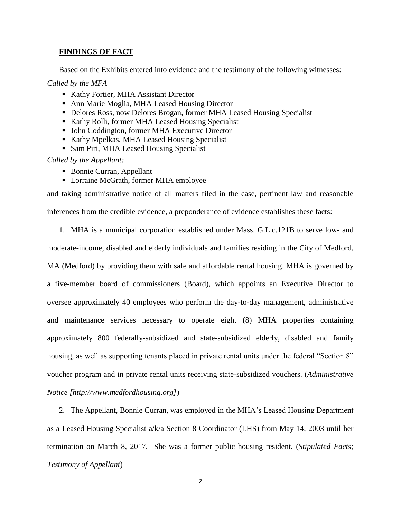# **FINDINGS OF FACT**

Based on the Exhibits entered into evidence and the testimony of the following witnesses:

## *Called by the MFA*

- Kathy Fortier, MHA Assistant Director
- Ann Marie Moglia, MHA Leased Housing Director
- Delores Ross, now Delores Brogan, former MHA Leased Housing Specialist
- Kathy Rolli, former MHA Leased Housing Specialist
- John Coddington, former MHA Executive Director
- Kathy Mpelkas, MHA Leased Housing Specialist
- Sam Piri, MHA Leased Housing Specialist

# *Called by the Appellant:*

- Bonnie Curran, Appellant
- Lorraine McGrath, former MHA employee

and taking administrative notice of all matters filed in the case, pertinent law and reasonable inferences from the credible evidence, a preponderance of evidence establishes these facts:

1. MHA is a municipal corporation established under Mass. G.L.c.121B to serve low- and

moderate-income, disabled and elderly individuals and families residing in the City of Medford, MA (Medford) by providing them with safe and affordable rental housing. MHA is governed by a five-member board of commissioners (Board), which appoints an Executive Director to oversee approximately 40 employees who perform the day-to-day management, administrative and maintenance services necessary to operate eight (8) MHA properties containing approximately 800 federally-subsidized and state-subsidized elderly, disabled and family housing, as well as supporting tenants placed in private rental units under the federal "Section 8" voucher program and in private rental units receiving state-subsidized vouchers. (*Administrative Notice [http://www.medfordhousing.org]*)

2. The Appellant, Bonnie Curran, was employed in the MHA's Leased Housing Department as a Leased Housing Specialist a/k/a Section 8 Coordinator (LHS) from May 14, 2003 until her termination on March 8, 2017. She was a former public housing resident. (*Stipulated Facts; Testimony of Appellant*)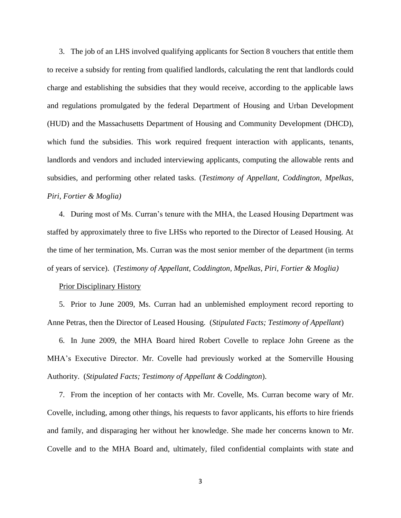3. The job of an LHS involved qualifying applicants for Section 8 vouchers that entitle them to receive a subsidy for renting from qualified landlords, calculating the rent that landlords could charge and establishing the subsidies that they would receive, according to the applicable laws and regulations promulgated by the federal Department of Housing and Urban Development (HUD) and the Massachusetts Department of Housing and Community Development (DHCD), which fund the subsidies. This work required frequent interaction with applicants, tenants, landlords and vendors and included interviewing applicants, computing the allowable rents and subsidies, and performing other related tasks. (*Testimony of Appellant, Coddington, Mpelkas, Piri, Fortier & Moglia)*

4. During most of Ms. Curran's tenure with the MHA, the Leased Housing Department was staffed by approximately three to five LHSs who reported to the Director of Leased Housing. At the time of her termination, Ms. Curran was the most senior member of the department (in terms of years of service). (*Testimony of Appellant, Coddington, Mpelkas, Piri, Fortier & Moglia)*

## Prior Disciplinary History

5. Prior to June 2009, Ms. Curran had an unblemished employment record reporting to Anne Petras, then the Director of Leased Housing. (*Stipulated Facts; Testimony of Appellant*)

6. In June 2009, the MHA Board hired Robert Covelle to replace John Greene as the MHA's Executive Director. Mr. Covelle had previously worked at the Somerville Housing Authority. (*Stipulated Facts; Testimony of Appellant & Coddington*).

7. From the inception of her contacts with Mr. Covelle, Ms. Curran become wary of Mr. Covelle, including, among other things, his requests to favor applicants, his efforts to hire friends and family, and disparaging her without her knowledge. She made her concerns known to Mr. Covelle and to the MHA Board and, ultimately, filed confidential complaints with state and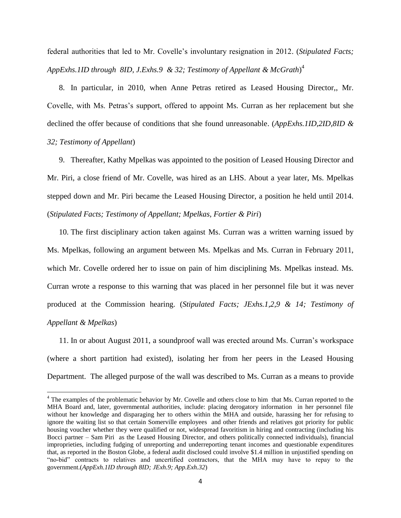federal authorities that led to Mr. Covelle's involuntary resignation in 2012. (*Stipulated Facts; AppExhs.1ID through 8ID, J.Exhs.9 & 32; Testimony of Appellant & McGrath*) 4

8. In particular, in 2010, when Anne Petras retired as Leased Housing Director,, Mr. Covelle, with Ms. Petras's support, offered to appoint Ms. Curran as her replacement but she declined the offer because of conditions that she found unreasonable. (*AppExhs.1ID,2ID,8ID & 32; Testimony of Appellant*)

9. Thereafter, Kathy Mpelkas was appointed to the position of Leased Housing Director and Mr. Piri, a close friend of Mr. Covelle, was hired as an LHS. About a year later, Ms. Mpelkas stepped down and Mr. Piri became the Leased Housing Director, a position he held until 2014. (*Stipulated Facts; Testimony of Appellant; Mpelkas, Fortier & Piri*)

10. The first disciplinary action taken against Ms. Curran was a written warning issued by Ms. Mpelkas, following an argument between Ms. Mpelkas and Ms. Curran in February 2011, which Mr. Covelle ordered her to issue on pain of him disciplining Ms. Mpelkas instead. Ms. Curran wrote a response to this warning that was placed in her personnel file but it was never produced at the Commission hearing. (*Stipulated Facts; JExhs.1,2,9 & 14; Testimony of Appellant & Mpelkas*)

11. In or about August 2011, a soundproof wall was erected around Ms. Curran's workspace (where a short partition had existed), isolating her from her peers in the Leased Housing Department. The alleged purpose of the wall was described to Ms. Curran as a means to provide

<sup>&</sup>lt;sup>4</sup> The examples of the problematic behavior by Mr. Covelle and others close to him that Ms. Curran reported to the MHA Board and, later, governmental authorities, include: placing derogatory information in her personnel file without her knowledge and disparaging her to others within the MHA and outside, harassing her for refusing to ignore the waiting list so that certain Somerville employees and other friends and relatives got priority for public housing voucher whether they were qualified or not, widespread favoritism in hiring and contracting (including his Bocci partner – Sam Piri as the Leased Housing Director, and others politically connected individuals), financial improprieties, including fudging of unreporting and underreporting tenant incomes and questionable expenditures that, as reported in the Boston Globe, a federal audit disclosed could involve \$1.4 million in unjustified spending on "no-bid" contracts to relatives and uncertified contractors, that the MHA may have to repay to the government.(*AppExh.1ID through 8ID; JExh.9; App.Exh.32*)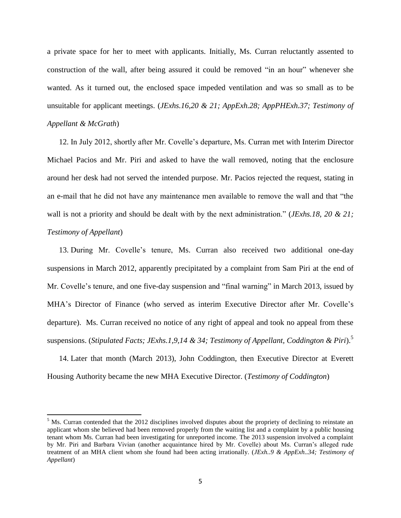a private space for her to meet with applicants. Initially, Ms. Curran reluctantly assented to construction of the wall, after being assured it could be removed "in an hour" whenever she wanted. As it turned out, the enclosed space impeded ventilation and was so small as to be unsuitable for applicant meetings. (*JExhs.16,20 & 21; AppExh.28; AppPHExh.37; Testimony of Appellant & McGrath*)

12. In July 2012, shortly after Mr. Covelle's departure, Ms. Curran met with Interim Director Michael Pacios and Mr. Piri and asked to have the wall removed, noting that the enclosure around her desk had not served the intended purpose. Mr. Pacios rejected the request, stating in an e-mail that he did not have any maintenance men available to remove the wall and that "the wall is not a priority and should be dealt with by the next administration." (*JExhs.18, 20 & 21; Testimony of Appellant*)

13. During Mr. Covelle's tenure, Ms. Curran also received two additional one-day suspensions in March 2012, apparently precipitated by a complaint from Sam Piri at the end of Mr. Covelle's tenure, and one five-day suspension and "final warning" in March 2013, issued by MHA's Director of Finance (who served as interim Executive Director after Mr. Covelle's departure). Ms. Curran received no notice of any right of appeal and took no appeal from these suspensions. (*Stipulated Facts; JExhs.1,9,14 & 34; Testimony of Appellant, Coddington & Piri*).<sup>5</sup>

14. Later that month (March 2013), John Coddington, then Executive Director at Everett Housing Authority became the new MHA Executive Director. (*Testimony of Coddington*)

 $<sup>5</sup>$  Ms. Curran contended that the 2012 disciplines involved disputes about the propriety of declining to reinstate an</sup> applicant whom she believed had been removed properly from the waiting list and a complaint by a public housing tenant whom Ms. Curran had been investigating for unreported income. The 2013 suspension involved a complaint by Mr. Piri and Barbara Vivian (another acquaintance hired by Mr. Covelle) about Ms. Curran's alleged rude treatment of an MHA client whom she found had been acting irrationally. (*JExh..9 & AppExh..34; Testimony of Appellant*)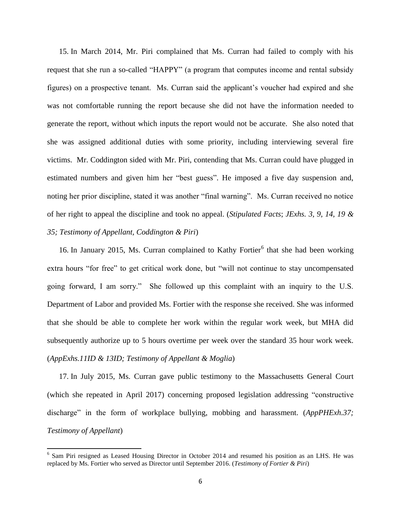15. In March 2014, Mr. Piri complained that Ms. Curran had failed to comply with his request that she run a so-called "HAPPY" (a program that computes income and rental subsidy figures) on a prospective tenant. Ms. Curran said the applicant's voucher had expired and she was not comfortable running the report because she did not have the information needed to generate the report, without which inputs the report would not be accurate. She also noted that she was assigned additional duties with some priority, including interviewing several fire victims. Mr. Coddington sided with Mr. Piri, contending that Ms. Curran could have plugged in estimated numbers and given him her "best guess". He imposed a five day suspension and, noting her prior discipline, stated it was another "final warning". Ms. Curran received no notice of her right to appeal the discipline and took no appeal. (*Stipulated Facts*; *JExhs. 3, 9, 14, 19 & 35; Testimony of Appellant, Coddington & Piri*)

16. In January 2015, Ms. Curran complained to Kathy Fortier<sup>6</sup> that she had been working extra hours "for free" to get critical work done, but "will not continue to stay uncompensated going forward, I am sorry." She followed up this complaint with an inquiry to the U.S. Department of Labor and provided Ms. Fortier with the response she received. She was informed that she should be able to complete her work within the regular work week, but MHA did subsequently authorize up to 5 hours overtime per week over the standard 35 hour work week. (*AppExhs.11ID & 13ID; Testimony of Appellant & Moglia*)

17. In July 2015, Ms. Curran gave public testimony to the Massachusetts General Court (which she repeated in April 2017) concerning proposed legislation addressing "constructive discharge" in the form of workplace bullying, mobbing and harassment. (*AppPHExh.37; Testimony of Appellant*)

<sup>&</sup>lt;sup>6</sup> Sam Piri resigned as Leased Housing Director in October 2014 and resumed his position as an LHS. He was replaced by Ms. Fortier who served as Director until September 2016. (*Testimony of Fortier & Piri*)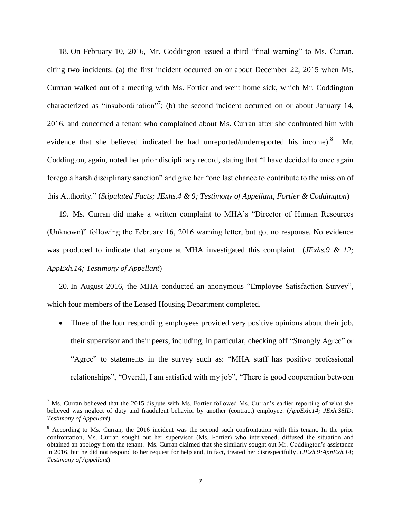18. On February 10, 2016, Mr. Coddington issued a third "final warning" to Ms. Curran, citing two incidents: (a) the first incident occurred on or about December 22, 2015 when Ms. Currran walked out of a meeting with Ms. Fortier and went home sick, which Mr. Coddington characterized as "insubordination"<sup>7</sup>; (b) the second incident occurred on or about January 14, 2016, and concerned a tenant who complained about Ms. Curran after she confronted him with evidence that she believed indicated he had unreported/underreported his income).<sup>8</sup> Mr. Coddington, again, noted her prior disciplinary record, stating that "I have decided to once again forego a harsh disciplinary sanction" and give her "one last chance to contribute to the mission of this Authority." (*Stipulated Facts; JExhs.4 & 9; Testimony of Appellant, Fortier & Coddington*)

19. Ms. Curran did make a written complaint to MHA's "Director of Human Resources (Unknown)" following the February 16, 2016 warning letter, but got no response. No evidence was produced to indicate that anyone at MHA investigated this complaint.. (*JExhs.9 & 12; AppExh.14; Testimony of Appellant*)

20. In August 2016, the MHA conducted an anonymous "Employee Satisfaction Survey", which four members of the Leased Housing Department completed.

• Three of the four responding employees provided very positive opinions about their job, their supervisor and their peers, including, in particular, checking off "Strongly Agree" or "Agree" to statements in the survey such as: "MHA staff has positive professional relationships", "Overall, I am satisfied with my job", "There is good cooperation between

 $\overline{a}$ 

 $<sup>7</sup>$  Ms. Curran believed that the 2015 dispute with Ms. Fortier followed Ms. Curran's earlier reporting of what she</sup> believed was neglect of duty and fraudulent behavior by another (contract) employee. (*AppExh.14; JExh.36ID; Testimony of Appellant*)

<sup>8</sup> According to Ms. Curran, the 2016 incident was the second such confrontation with this tenant. In the prior confrontation, Ms. Curran sought out her supervisor (Ms. Fortier) who intervened, diffused the situation and obtained an apology from the tenant. Ms. Curran claimed that she similarly sought out Mr. Coddington's assistance in 2016, but he did not respond to her request for help and, in fact, treated her disrespectfully. (*JExh.9;AppExh.14; Testimony of Appellant*)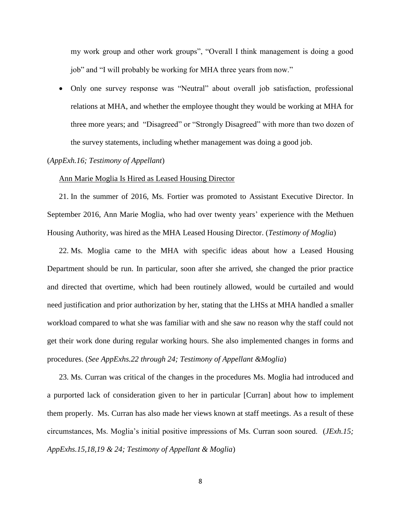my work group and other work groups", "Overall I think management is doing a good job" and "I will probably be working for MHA three years from now."

 Only one survey response was "Neutral" about overall job satisfaction, professional relations at MHA, and whether the employee thought they would be working at MHA for three more years; and "Disagreed" or "Strongly Disagreed" with more than two dozen of the survey statements, including whether management was doing a good job.

## (*AppExh.16; Testimony of Appellant*)

#### Ann Marie Moglia Is Hired as Leased Housing Director

21. In the summer of 2016, Ms. Fortier was promoted to Assistant Executive Director. In September 2016, Ann Marie Moglia, who had over twenty years' experience with the Methuen Housing Authority, was hired as the MHA Leased Housing Director. (*Testimony of Moglia*)

22. Ms. Moglia came to the MHA with specific ideas about how a Leased Housing Department should be run. In particular, soon after she arrived, she changed the prior practice and directed that overtime, which had been routinely allowed, would be curtailed and would need justification and prior authorization by her, stating that the LHSs at MHA handled a smaller workload compared to what she was familiar with and she saw no reason why the staff could not get their work done during regular working hours. She also implemented changes in forms and procedures. (*See AppExhs.22 through 24; Testimony of Appellant &Moglia*)

23. Ms. Curran was critical of the changes in the procedures Ms. Moglia had introduced and a purported lack of consideration given to her in particular [Curran] about how to implement them properly. Ms. Curran has also made her views known at staff meetings. As a result of these circumstances, Ms. Moglia's initial positive impressions of Ms. Curran soon soured. (*JExh.15; AppExhs.15,18,19 & 24; Testimony of Appellant & Moglia*)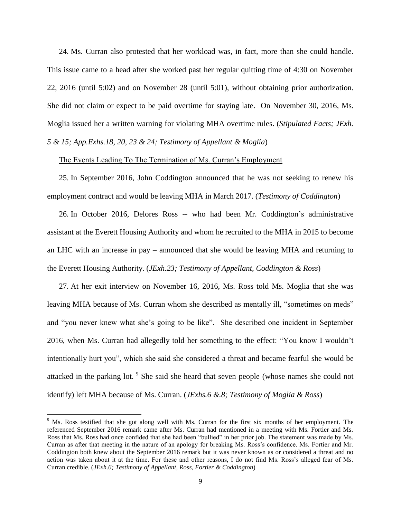24. Ms. Curran also protested that her workload was, in fact, more than she could handle. This issue came to a head after she worked past her regular quitting time of 4:30 on November 22, 2016 (until 5:02) and on November 28 (until 5:01), without obtaining prior authorization. She did not claim or expect to be paid overtime for staying late. On November 30, 2016, Ms. Moglia issued her a written warning for violating MHA overtime rules. (*Stipulated Facts; JExh. 5 & 15; App.Exhs.18, 20, 23 & 24; Testimony of Appellant & Moglia*)

## The Events Leading To The Termination of Ms. Curran's Employment

25. In September 2016, John Coddington announced that he was not seeking to renew his employment contract and would be leaving MHA in March 2017. (*Testimony of Coddington*)

26. In October 2016, Delores Ross -- who had been Mr. Coddington's administrative assistant at the Everett Housing Authority and whom he recruited to the MHA in 2015 to become an LHC with an increase in pay – announced that she would be leaving MHA and returning to the Everett Housing Authority. (*JExh.23; Testimony of Appellant, Coddington & Ross*)

27. At her exit interview on November 16, 2016, Ms. Ross told Ms. Moglia that she was leaving MHA because of Ms. Curran whom she described as mentally ill, "sometimes on meds" and "you never knew what she's going to be like". She described one incident in September 2016, when Ms. Curran had allegedly told her something to the effect: "You know I wouldn't intentionally hurt you", which she said she considered a threat and became fearful she would be attacked in the parking lot. <sup>9</sup> She said she heard that seven people (whose names she could not identify) left MHA because of Ms. Curran. (*JExhs.6 &.8; Testimony of Moglia & Ross*)

<sup>&</sup>lt;sup>9</sup> Ms. Ross testified that she got along well with Ms. Curran for the first six months of her employment. The referenced September 2016 remark came after Ms. Curran had mentioned in a meeting with Ms. Fortier and Ms. Ross that Ms. Ross had once confided that she had been "bullied" in her prior job. The statement was made by Ms. Curran as after that meeting in the nature of an apology for breaking Ms. Ross's confidence. Ms. Fortier and Mr. Coddington both knew about the September 2016 remark but it was never known as or considered a threat and no action was taken about it at the time. For these and other reasons, I do not find Ms. Ross's alleged fear of Ms. Curran credible. (*JExh.6; Testimony of Appellant, Ross, Fortier & Coddington*)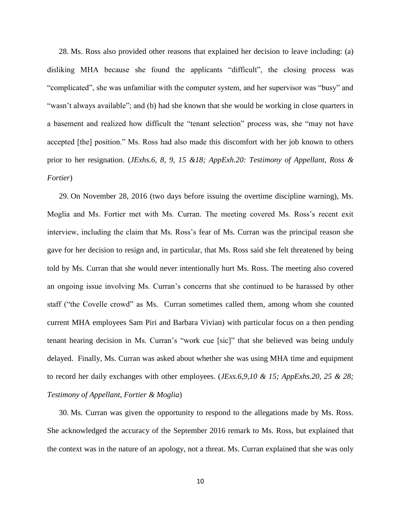28. Ms. Ross also provided other reasons that explained her decision to leave including: (a) disliking MHA because she found the applicants "difficult", the closing process was "complicated", she was unfamiliar with the computer system, and her supervisor was "busy" and "wasn't always available"; and (b) had she known that she would be working in close quarters in a basement and realized how difficult the "tenant selection" process was, she "may not have accepted [the] position." Ms. Ross had also made this discomfort with her job known to others prior to her resignation. (*JExhs.6, 8, 9, 15 &18; AppExh.20: Testimony of Appellant, Ross & Fortier*)

29. On November 28, 2016 (two days before issuing the overtime discipline warning), Ms. Moglia and Ms. Fortier met with Ms. Curran. The meeting covered Ms. Ross's recent exit interview, including the claim that Ms. Ross's fear of Ms. Curran was the principal reason she gave for her decision to resign and, in particular, that Ms. Ross said she felt threatened by being told by Ms. Curran that she would never intentionally hurt Ms. Ross. The meeting also covered an ongoing issue involving Ms. Curran's concerns that she continued to be harassed by other staff ("the Covelle crowd" as Ms. Curran sometimes called them, among whom she counted current MHA employees Sam Piri and Barbara Vivian) with particular focus on a then pending tenant hearing decision in Ms. Curran's "work cue [sic]" that she believed was being unduly delayed. Finally, Ms. Curran was asked about whether she was using MHA time and equipment to record her daily exchanges with other employees. (*JExs.6,9,10 & 15; AppExhs.20, 25 & 28; Testimony of Appellant, Fortier & Moglia*)

30. Ms. Curran was given the opportunity to respond to the allegations made by Ms. Ross. She acknowledged the accuracy of the September 2016 remark to Ms. Ross, but explained that the context was in the nature of an apology, not a threat. Ms. Curran explained that she was only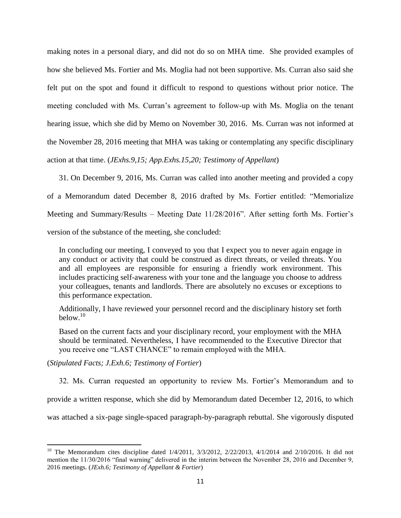making notes in a personal diary, and did not do so on MHA time. She provided examples of how she believed Ms. Fortier and Ms. Moglia had not been supportive. Ms. Curran also said she felt put on the spot and found it difficult to respond to questions without prior notice. The meeting concluded with Ms. Curran's agreement to follow-up with Ms. Moglia on the tenant hearing issue, which she did by Memo on November 30, 2016. Ms. Curran was not informed at the November 28, 2016 meeting that MHA was taking or contemplating any specific disciplinary action at that time. (*JExhs.9,15; App.Exhs.15,20; Testimony of Appellant*)

31. On December 9, 2016, Ms. Curran was called into another meeting and provided a copy of a Memorandum dated December 8, 2016 drafted by Ms. Fortier entitled: "Memorialize Meeting and Summary/Results – Meeting Date 11/28/2016". After setting forth Ms. Fortier's version of the substance of the meeting, she concluded:

In concluding our meeting, I conveyed to you that I expect you to never again engage in any conduct or activity that could be construed as direct threats, or veiled threats. You and all employees are responsible for ensuring a friendly work environment. This includes practicing self-awareness with your tone and the language you choose to address your colleagues, tenants and landlords. There are absolutely no excuses or exceptions to this performance expectation.

Additionally, I have reviewed your personnel record and the disciplinary history set forth  $below<sup>10</sup>$ 

Based on the current facts and your disciplinary record, your employment with the MHA should be terminated. Nevertheless, I have recommended to the Executive Director that you receive one "LAST CHANCE" to remain employed with the MHA.

(*Stipulated Facts; J.Exh.6; Testimony of Fortier*)

32. Ms. Curran requested an opportunity to review Ms. Fortier's Memorandum and to provide a written response, which she did by Memorandum dated December 12, 2016, to which was attached a six-page single-spaced paragraph-by-paragraph rebuttal. She vigorously disputed

 $\overline{\phantom{a}}$ <sup>10</sup> The Memorandum cites discipline dated  $1/4/2011$ ,  $3/3/2012$ ,  $2/22/2013$ ,  $4/1/2014$  and  $2/10/2016$ . It did not mention the 11/30/2016 "final warning" delivered in the interim between the November 28, 2016 and December 9, 2016 meetings. (*JExh.6; Testimony of Appellant & Fortier*)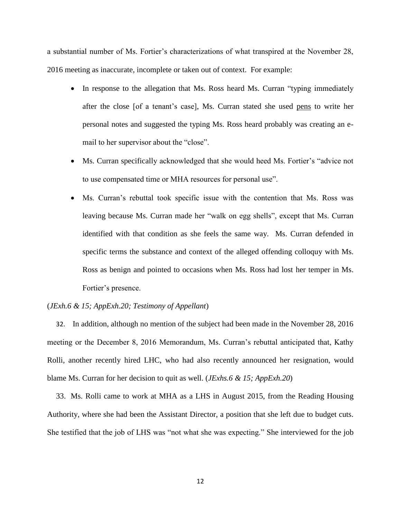a substantial number of Ms. Fortier's characterizations of what transpired at the November 28, 2016 meeting as inaccurate, incomplete or taken out of context. For example:

- In response to the allegation that Ms. Ross heard Ms. Curran "typing immediately after the close [of a tenant's case], Ms. Curran stated she used pens to write her personal notes and suggested the typing Ms. Ross heard probably was creating an email to her supervisor about the "close".
- Ms. Curran specifically acknowledged that she would heed Ms. Fortier's "advice not to use compensated time or MHA resources for personal use".
- Ms. Curran's rebuttal took specific issue with the contention that Ms. Ross was leaving because Ms. Curran made her "walk on egg shells", except that Ms. Curran identified with that condition as she feels the same way. Ms. Curran defended in specific terms the substance and context of the alleged offending colloquy with Ms. Ross as benign and pointed to occasions when Ms. Ross had lost her temper in Ms. Fortier's presence.

# (*JExh.6 & 15; AppExh.20; Testimony of Appellant*)

32. In addition, although no mention of the subject had been made in the November 28, 2016 meeting or the December 8, 2016 Memorandum, Ms. Curran's rebuttal anticipated that, Kathy Rolli, another recently hired LHC, who had also recently announced her resignation, would blame Ms. Curran for her decision to quit as well. (*JExhs.6 & 15; AppExh.20*)

33. Ms. Rolli came to work at MHA as a LHS in August 2015, from the Reading Housing Authority, where she had been the Assistant Director, a position that she left due to budget cuts. She testified that the job of LHS was "not what she was expecting." She interviewed for the job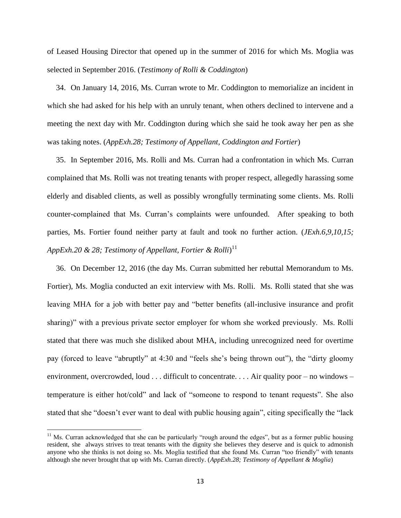of Leased Housing Director that opened up in the summer of 2016 for which Ms. Moglia was selected in September 2016. (*Testimony of Rolli & Coddington*)

34. On January 14, 2016, Ms. Curran wrote to Mr. Coddington to memorialize an incident in which she had asked for his help with an unruly tenant, when others declined to intervene and a meeting the next day with Mr. Coddington during which she said he took away her pen as she was taking notes. (*AppExh.28; Testimony of Appellant, Coddington and Fortier*)

35. In September 2016, Ms. Rolli and Ms. Curran had a confrontation in which Ms. Curran complained that Ms. Rolli was not treating tenants with proper respect, allegedly harassing some elderly and disabled clients, as well as possibly wrongfully terminating some clients. Ms. Rolli counter-complained that Ms. Curran's complaints were unfounded. After speaking to both parties, Ms. Fortier found neither party at fault and took no further action. (*JExh.6,9,10,15; AppExh.20 & 28; Testimony of Appellant, Fortier & Rolli*) 11

36. On December 12, 2016 (the day Ms. Curran submitted her rebuttal Memorandum to Ms. Fortier), Ms. Moglia conducted an exit interview with Ms. Rolli. Ms. Rolli stated that she was leaving MHA for a job with better pay and "better benefits (all-inclusive insurance and profit sharing)" with a previous private sector employer for whom she worked previously. Ms. Rolli stated that there was much she disliked about MHA, including unrecognized need for overtime pay (forced to leave "abruptly" at 4:30 and "feels she's being thrown out"), the "dirty gloomy environment, overcrowded, loud . . . difficult to concentrate. . . . Air quality poor – no windows – temperature is either hot/cold" and lack of "someone to respond to tenant requests". She also stated that she "doesn't ever want to deal with public housing again", citing specifically the "lack

 $\overline{a}$ 

 $11$  Ms. Curran acknowledged that she can be particularly "rough around the edges", but as a former public housing resident, she always strives to treat tenants with the dignity she believes they deserve and is quick to admonish anyone who she thinks is not doing so. Ms. Moglia testified that she found Ms. Curran "too friendly" with tenants although she never brought that up with Ms. Curran directly. (*AppExh.28; Testimony of Appellant & Moglia*)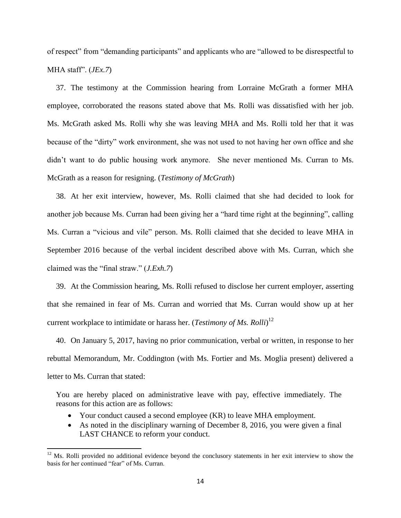of respect" from "demanding participants" and applicants who are "allowed to be disrespectful to MHA staff". (*JEx.7*)

37. The testimony at the Commission hearing from Lorraine McGrath a former MHA employee, corroborated the reasons stated above that Ms. Rolli was dissatisfied with her job. Ms. McGrath asked Ms. Rolli why she was leaving MHA and Ms. Rolli told her that it was because of the "dirty" work environment, she was not used to not having her own office and she didn't want to do public housing work anymore. She never mentioned Ms. Curran to Ms. McGrath as a reason for resigning. (*Testimony of McGrath*)

38. At her exit interview, however, Ms. Rolli claimed that she had decided to look for another job because Ms. Curran had been giving her a "hard time right at the beginning", calling Ms. Curran a "vicious and vile" person. Ms. Rolli claimed that she decided to leave MHA in September 2016 because of the verbal incident described above with Ms. Curran, which she claimed was the "final straw." (*J.Exh.7*)

39. At the Commission hearing, Ms. Rolli refused to disclose her current employer, asserting that she remained in fear of Ms. Curran and worried that Ms. Curran would show up at her current workplace to intimidate or harass her. (*Testimony of Ms. Rolli*) 12

40. On January 5, 2017, having no prior communication, verbal or written, in response to her rebuttal Memorandum, Mr. Coddington (with Ms. Fortier and Ms. Moglia present) delivered a letter to Ms. Curran that stated:

You are hereby placed on administrative leave with pay, effective immediately. The reasons for this action are as follows:

Your conduct caused a second employee (KR) to leave MHA employment.

 $\overline{\phantom{a}}$ 

 As noted in the disciplinary warning of December 8, 2016, you were given a final LAST CHANCE to reform your conduct.

 $12$  Ms. Rolli provided no additional evidence beyond the conclusory statements in her exit interview to show the basis for her continued "fear" of Ms. Curran.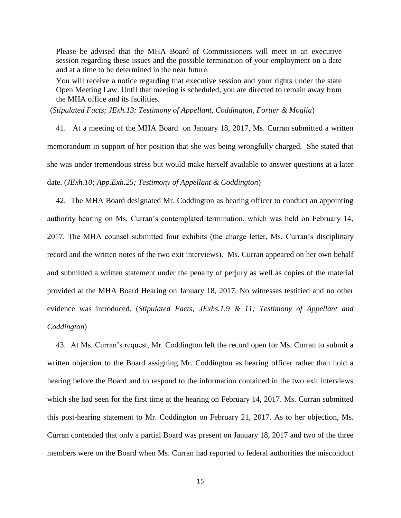Please be advised that the MHA Board of Commissioners will meet in an executive session regarding these issues and the possible termination of your employment on a date and at a time to be determined in the near future.

You will receive a notice regarding that executive session and your rights under the state Open Meeting Law. Until that meeting is scheduled, you are directed to remain away from the MHA office and its facilities.

(*Stipulated Facts; JExh.13: Testimony of Appellant, Coddington, Fortier & Moglia*)

41. At a meeting of the MHA Board on January 18, 2017, Ms. Curran submitted a written memorandum in support of her position that she was being wrongfully charged. She stated that she was under tremendous stress but would make herself available to answer questions at a later date. (*JExh.10; App.Exh.25; Testimony of Appellant & Coddington*)

42. The MHA Board designated Mr. Coddington as hearing officer to conduct an appointing authority hearing on Ms. Curran's contemplated termination, which was held on February 14, 2017. The MHA counsel submitted four exhibits (the charge letter, Ms. Curran's disciplinary record and the written notes of the two exit interviews). Ms. Curran appeared on her own behalf and submitted a written statement under the penalty of perjury as well as copies of the material provided at the MHA Board Hearing on January 18, 2017. No witnesses testified and no other evidence was introduced. (*Stipulated Facts; JExhs.1,9 & 11; Testimony of Appellant and Coddington*)

43. At Ms. Curran's request, Mr. Coddington left the record open for Ms. Curran to submit a written objection to the Board assigning Mr. Coddington as hearing officer rather than hold a hearing before the Board and to respond to the information contained in the two exit interviews which she had seen for the first time at the hearing on February 14, 2017. Ms. Curran submitted this post-hearing statement to Mr. Coddington on February 21, 2017. As to her objection, Ms. Curran contended that only a partial Board was present on January 18, 2017 and two of the three members were on the Board when Ms. Curran had reported to federal authorities the misconduct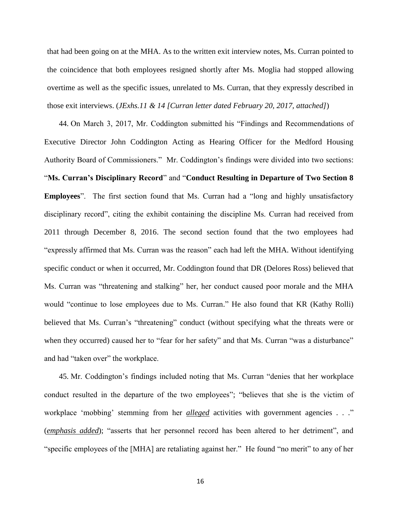that had been going on at the MHA. As to the written exit interview notes, Ms. Curran pointed to the coincidence that both employees resigned shortly after Ms. Moglia had stopped allowing overtime as well as the specific issues, unrelated to Ms. Curran, that they expressly described in those exit interviews. (*JExhs.11 & 14 [Curran letter dated February 20, 2017, attached]*)

44. On March 3, 2017, Mr. Coddington submitted his "Findings and Recommendations of Executive Director John Coddington Acting as Hearing Officer for the Medford Housing Authority Board of Commissioners." Mr. Coddington's findings were divided into two sections: "**Ms. Curran's Disciplinary Record**" and "**Conduct Resulting in Departure of Two Section 8 Employees**". The first section found that Ms. Curran had a "long and highly unsatisfactory disciplinary record", citing the exhibit containing the discipline Ms. Curran had received from 2011 through December 8, 2016. The second section found that the two employees had "expressly affirmed that Ms. Curran was the reason" each had left the MHA. Without identifying specific conduct or when it occurred, Mr. Coddington found that DR (Delores Ross) believed that Ms. Curran was "threatening and stalking" her, her conduct caused poor morale and the MHA would "continue to lose employees due to Ms. Curran." He also found that KR (Kathy Rolli) believed that Ms. Curran's "threatening" conduct (without specifying what the threats were or when they occurred) caused her to "fear for her safety" and that Ms. Curran "was a disturbance" and had "taken over" the workplace.

45. Mr. Coddington's findings included noting that Ms. Curran "denies that her workplace conduct resulted in the departure of the two employees"; "believes that she is the victim of workplace 'mobbing' stemming from her *alleged* activities with government agencies . . ." (*emphasis added*); "asserts that her personnel record has been altered to her detriment", and "specific employees of the [MHA] are retaliating against her." He found "no merit" to any of her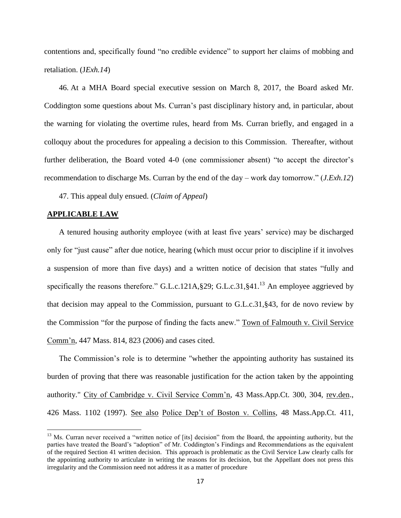contentions and, specifically found "no credible evidence" to support her claims of mobbing and retaliation. (J*Exh.14*)

46. At a MHA Board special executive session on March 8, 2017, the Board asked Mr. Coddington some questions about Ms. Curran's past disciplinary history and, in particular, about the warning for violating the overtime rules, heard from Ms. Curran briefly, and engaged in a colloquy about the procedures for appealing a decision to this Commission. Thereafter, without further deliberation, the Board voted 4-0 (one commissioner absent) "to accept the director's recommendation to discharge Ms. Curran by the end of the day – work day tomorrow." (*J.Exh.12*)

47. This appeal duly ensued. (*Claim of Appeal*)

## **APPLICABLE LAW**

 $\overline{a}$ 

A tenured housing authority employee (with at least five years' service) may be discharged only for "just cause" after due notice, hearing (which must occur prior to discipline if it involves a suspension of more than five days) and a written notice of decision that states "fully and specifically the reasons therefore." G.L.c.121A, §29; G.L.c.31, §41.<sup>13</sup> An employee aggrieved by that decision may appeal to the Commission, pursuant to G.L.c.31,§43, for de novo review by the Commission "for the purpose of finding the facts anew." Town of Falmouth v. Civil Service Comm'n, 447 Mass. 814, 823 (2006) and cases cited.

The Commission's role is to determine "whether the appointing authority has sustained its burden of proving that there was reasonable justification for the action taken by the appointing authority." City of Cambridge v. Civil Service Comm'n, 43 Mass.App.Ct. 300, 304, rev.den., 426 Mass. 1102 (1997). See also Police Dep't of Boston v. Collins, 48 Mass.App.Ct. 411,

<sup>&</sup>lt;sup>13</sup> Ms. Curran never received a "written notice of [its] decision" from the Board, the appointing authority, but the parties have treated the Board's "adoption" of Mr. Coddington's Findings and Recommendations as the equivalent of the required Section 41 written decision. This approach is problematic as the Civil Service Law clearly calls for the appointing authority to articulate in writing the reasons for its decision, but the Appellant does not press this irregularity and the Commission need not address it as a matter of procedure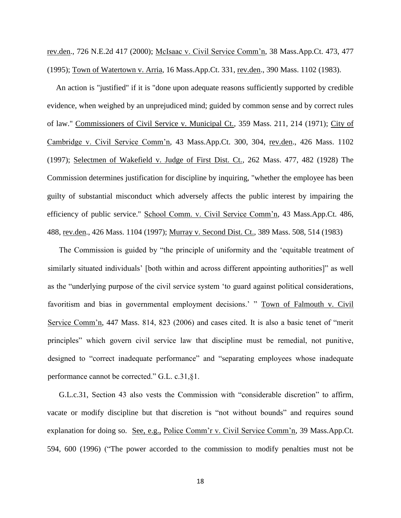rev.den., 726 N.E.2d 417 (2000); McIsaac v. Civil Service Comm'n, 38 Mass.App.Ct. 473, 477 (1995); Town of Watertown v. Arria, 16 Mass.App.Ct. 331, rev.den., 390 Mass. 1102 (1983).

An action is "justified" if it is "done upon adequate reasons sufficiently supported by credible evidence, when weighed by an unprejudiced mind; guided by common sense and by correct rules of law." Commissioners of Civil Service v. Municipal Ct., 359 Mass. 211, 214 (1971); City of Cambridge v. Civil Service Comm'n, 43 Mass.App.Ct. 300, 304, rev.den., 426 Mass. 1102 (1997); Selectmen of Wakefield v. Judge of First Dist. Ct., 262 Mass. 477, 482 (1928) The Commission determines justification for discipline by inquiring, "whether the employee has been guilty of substantial misconduct which adversely affects the public interest by impairing the efficiency of public service." School Comm. v. Civil Service Comm'n, 43 Mass.App.Ct. 486, 488, rev.den., 426 Mass. 1104 (1997); Murray v. Second Dist. Ct., 389 Mass. 508, 514 (1983)

The Commission is guided by "the principle of uniformity and the 'equitable treatment of similarly situated individuals' [both within and across different appointing authorities]" as well as the "underlying purpose of the civil service system 'to guard against political considerations, favoritism and bias in governmental employment decisions.' " Town of Falmouth v. Civil Service Comm'n, 447 Mass. 814, 823 (2006) and cases cited. It is also a basic tenet of "merit principles" which govern civil service law that discipline must be remedial, not punitive, designed to "correct inadequate performance" and "separating employees whose inadequate performance cannot be corrected." G.L. c.31,§1.

G.L.c.31, Section 43 also vests the Commission with "considerable discretion" to affirm, vacate or modify discipline but that discretion is "not without bounds" and requires sound explanation for doing so. See, e.g., Police Comm'r v. Civil Service Comm'n, 39 Mass.App.Ct. 594, 600 (1996) ("The power accorded to the commission to modify penalties must not be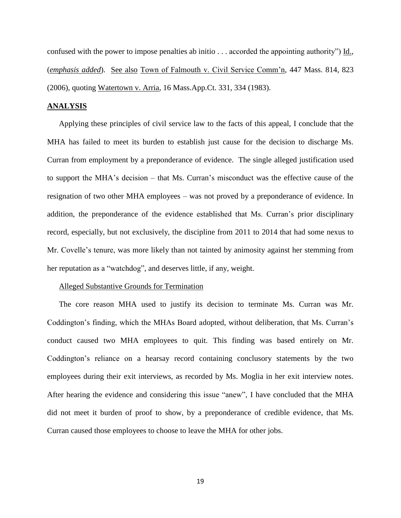confused with the power to impose penalties ab initio . . . accorded the appointing authority") Id., (*emphasis added*). See also Town of Falmouth v. Civil Service Comm'n, 447 Mass. 814, 823 (2006), quoting Watertown v. Arria, 16 Mass.App.Ct. 331, 334 (1983).

# **ANALYSIS**

Applying these principles of civil service law to the facts of this appeal, I conclude that the MHA has failed to meet its burden to establish just cause for the decision to discharge Ms. Curran from employment by a preponderance of evidence. The single alleged justification used to support the MHA's decision – that Ms. Curran's misconduct was the effective cause of the resignation of two other MHA employees – was not proved by a preponderance of evidence. In addition, the preponderance of the evidence established that Ms. Curran's prior disciplinary record, especially, but not exclusively, the discipline from 2011 to 2014 that had some nexus to Mr. Covelle's tenure, was more likely than not tainted by animosity against her stemming from her reputation as a "watchdog", and deserves little, if any, weight.

#### Alleged Substantive Grounds for Termination

The core reason MHA used to justify its decision to terminate Ms. Curran was Mr. Coddington's finding, which the MHAs Board adopted, without deliberation, that Ms. Curran's conduct caused two MHA employees to quit. This finding was based entirely on Mr. Coddington's reliance on a hearsay record containing conclusory statements by the two employees during their exit interviews, as recorded by Ms. Moglia in her exit interview notes. After hearing the evidence and considering this issue "anew", I have concluded that the MHA did not meet it burden of proof to show, by a preponderance of credible evidence, that Ms. Curran caused those employees to choose to leave the MHA for other jobs.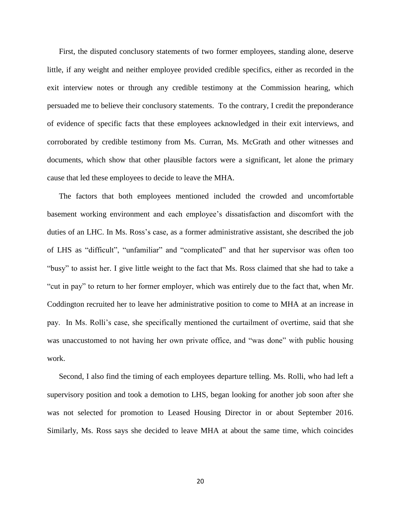First, the disputed conclusory statements of two former employees, standing alone, deserve little, if any weight and neither employee provided credible specifics, either as recorded in the exit interview notes or through any credible testimony at the Commission hearing, which persuaded me to believe their conclusory statements. To the contrary, I credit the preponderance of evidence of specific facts that these employees acknowledged in their exit interviews, and corroborated by credible testimony from Ms. Curran, Ms. McGrath and other witnesses and documents, which show that other plausible factors were a significant, let alone the primary cause that led these employees to decide to leave the MHA.

The factors that both employees mentioned included the crowded and uncomfortable basement working environment and each employee's dissatisfaction and discomfort with the duties of an LHC. In Ms. Ross's case, as a former administrative assistant, she described the job of LHS as "difficult", "unfamiliar" and "complicated" and that her supervisor was often too "busy" to assist her. I give little weight to the fact that Ms. Ross claimed that she had to take a "cut in pay" to return to her former employer, which was entirely due to the fact that, when Mr. Coddington recruited her to leave her administrative position to come to MHA at an increase in pay. In Ms. Rolli's case, she specifically mentioned the curtailment of overtime, said that she was unaccustomed to not having her own private office, and "was done" with public housing work.

Second, I also find the timing of each employees departure telling. Ms. Rolli, who had left a supervisory position and took a demotion to LHS, began looking for another job soon after she was not selected for promotion to Leased Housing Director in or about September 2016. Similarly, Ms. Ross says she decided to leave MHA at about the same time, which coincides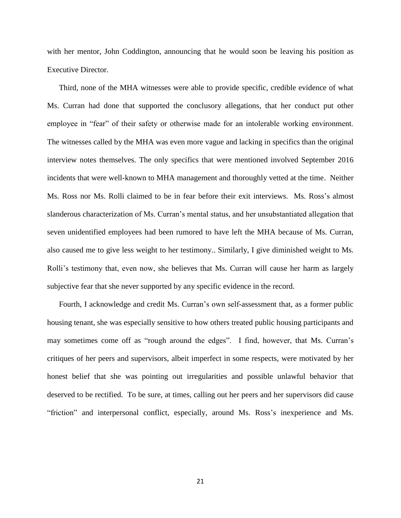with her mentor, John Coddington, announcing that he would soon be leaving his position as Executive Director.

Third, none of the MHA witnesses were able to provide specific, credible evidence of what Ms. Curran had done that supported the conclusory allegations, that her conduct put other employee in "fear" of their safety or otherwise made for an intolerable working environment. The witnesses called by the MHA was even more vague and lacking in specifics than the original interview notes themselves. The only specifics that were mentioned involved September 2016 incidents that were well-known to MHA management and thoroughly vetted at the time. Neither Ms. Ross nor Ms. Rolli claimed to be in fear before their exit interviews. Ms. Ross's almost slanderous characterization of Ms. Curran's mental status, and her unsubstantiated allegation that seven unidentified employees had been rumored to have left the MHA because of Ms. Curran, also caused me to give less weight to her testimony.. Similarly, I give diminished weight to Ms. Rolli's testimony that, even now, she believes that Ms. Curran will cause her harm as largely subjective fear that she never supported by any specific evidence in the record.

Fourth, I acknowledge and credit Ms. Curran's own self-assessment that, as a former public housing tenant, she was especially sensitive to how others treated public housing participants and may sometimes come off as "rough around the edges". I find, however, that Ms. Curran's critiques of her peers and supervisors, albeit imperfect in some respects, were motivated by her honest belief that she was pointing out irregularities and possible unlawful behavior that deserved to be rectified. To be sure, at times, calling out her peers and her supervisors did cause "friction" and interpersonal conflict, especially, around Ms. Ross's inexperience and Ms.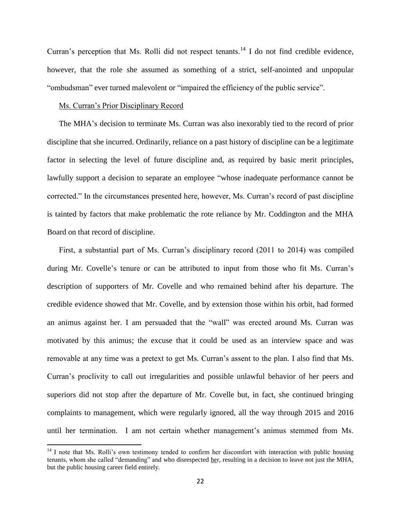Curran's perception that Ms. Rolli did not respect tenants.<sup>14</sup> I do not find credible evidence, however, that the role she assumed as something of a strict, self-anointed and unpopular "ombudsman" ever turned malevolent or "impaired the efficiency of the public service".

## Ms. Curran's Prior Disciplinary Record

 $\overline{\phantom{a}}$ 

The MHA's decision to terminate Ms. Curran was also inexorably tied to the record of prior discipline that she incurred. Ordinarily, reliance on a past history of discipline can be a legitimate factor in selecting the level of future discipline and, as required by basic merit principles, lawfully support a decision to separate an employee "whose inadequate performance cannot be corrected." In the circumstances presented here, however, Ms. Curran's record of past discipline is tainted by factors that make problematic the rote reliance by Mr. Coddington and the MHA Board on that record of discipline.

First, a substantial part of Ms. Curran's disciplinary record (2011 to 2014) was compiled during Mr. Covelle's tenure or can be attributed to input from those who fit Ms. Curran's description of supporters of Mr. Covelle and who remained behind after his departure. The credible evidence showed that Mr. Covelle, and by extension those within his orbit, had formed an animus against her. I am persuaded that the "wall" was erected around Ms. Curran was motivated by this animus; the excuse that it could be used as an interview space and was removable at any time was a pretext to get Ms. Curran's assent to the plan. I also find that Ms. Curran's proclivity to call out irregularities and possible unlawful behavior of her peers and superiors did not stop after the departure of Mr. Covelle but, in fact, she continued bringing complaints to management, which were regularly ignored, all the way through 2015 and 2016 until her termination. I am not certain whether management's animus stemmed from Ms.

<sup>&</sup>lt;sup>14</sup> I note that Ms. Rolli's own testimony tended to confirm her discomfort with interaction with public housing tenants, whom she called "demanding" and who disrespected her, resulting in a decision to leave not just the MHA, but the public housing career field entirely.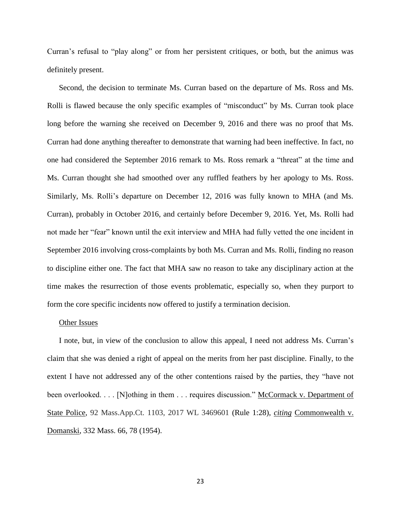Curran's refusal to "play along" or from her persistent critiques, or both, but the animus was definitely present.

Second, the decision to terminate Ms. Curran based on the departure of Ms. Ross and Ms. Rolli is flawed because the only specific examples of "misconduct" by Ms. Curran took place long before the warning she received on December 9, 2016 and there was no proof that Ms. Curran had done anything thereafter to demonstrate that warning had been ineffective. In fact, no one had considered the September 2016 remark to Ms. Ross remark a "threat" at the time and Ms. Curran thought she had smoothed over any ruffled feathers by her apology to Ms. Ross. Similarly, Ms. Rolli's departure on December 12, 2016 was fully known to MHA (and Ms. Curran), probably in October 2016, and certainly before December 9, 2016. Yet, Ms. Rolli had not made her "fear" known until the exit interview and MHA had fully vetted the one incident in September 2016 involving cross-complaints by both Ms. Curran and Ms. Rolli, finding no reason to discipline either one. The fact that MHA saw no reason to take any disciplinary action at the time makes the resurrection of those events problematic, especially so, when they purport to form the core specific incidents now offered to justify a termination decision.

#### Other Issues

I note, but, in view of the conclusion to allow this appeal, I need not address Ms. Curran's claim that she was denied a right of appeal on the merits from her past discipline. Finally, to the extent I have not addressed any of the other contentions raised by the parties, they "have not been overlooked. . . . [N]othing in them . . . requires discussion." McCormack v. Department of State Police, 92 Mass.App.Ct. 1103, 2017 WL 3469601 (Rule 1:28), *citing* Commonwealth v. Domanski, 332 Mass. 66, 78 (1954).